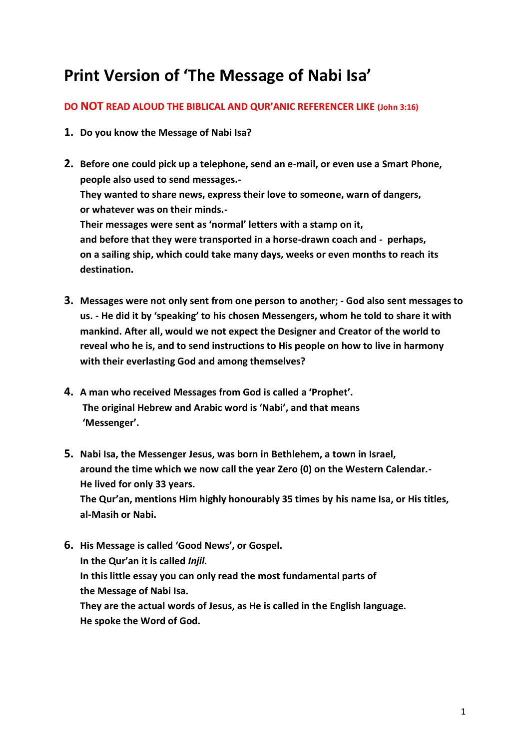# **Print Version of 'The Message of Nabi Isa'**

## **DO NOT READ ALOUD THE BIBLICAL AND QUR'ANIC REFERENCER LIKE (John 3:16)**

- **1. Do you know the Message of Nabi Isa?**
- **2. Before one could pick up a telephone, send an e-mail, or even use a Smart Phone, people also used to send messages.- They wanted to share news, express their love to someone, warn of dangers, or whatever was on their minds.- Their messages were sent as 'normal' letters with a stamp on it, and before that they were transported in a horse-drawn coach and - perhaps, on a sailing ship, which could take many days, weeks or even months to reach its destination.**
- **3. Messages were not only sent from one person to another; - God also sent messages to us. - He did it by 'speaking' to his chosen Messengers, whom he told to share it with mankind. After all, would we not expect the Designer and Creator of the world to reveal who he is, and to send instructions to His people on how to live in harmony with their everlasting God and among themselves?**
- **4. A man who received Messages from God is called a 'Prophet'. The original Hebrew and Arabic word is 'Nabi', and that means 'Messenger'.**
- **5. Nabi Isa, the Messenger Jesus, was born in Bethlehem, a town in Israel, around the time which we now call the year Zero (0) on the Western Calendar.- He lived for only 33 years. The Qur'an, mentions Him highly honourably 35 times by his name Isa, or His titles, al-Masih or Nabi.**
- **6. His Message is called 'Good News', or Gospel. In the Qur'an it is called** *Injil.* **In this little essay you can only read the most fundamental parts of the Message of Nabi Isa. They are the actual words of Jesus, as He is called in the English language. He spoke the Word of God.**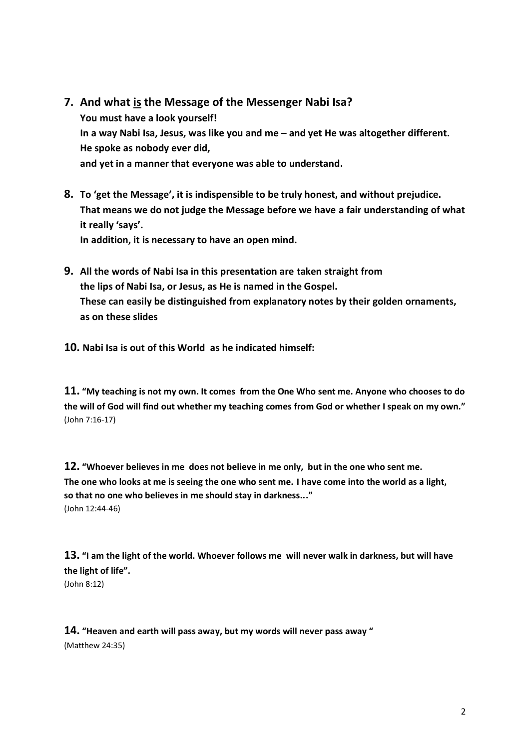- **7. And what is the Message of the Messenger Nabi Isa? You must have a look yourself! In a way Nabi Isa, Jesus, was like you and me – and yet He was altogether different. He spoke as nobody ever did, and yet in a manner that everyone was able to understand.**
- **8. To 'get the Message', it is indispensible to be truly honest, and without prejudice. That means we do not judge the Message before we have a fair understanding of what it really 'says'. In addition, it is necessary to have an open mind.**
- **9. All the words of Nabi Isa in this presentation are taken straight from the lips of Nabi Isa, or Jesus, as He is named in the Gospel. These can easily be distinguished from explanatory notes by their golden ornaments, as on these slides**
- **10. Nabi Isa is out of this World as he indicated himself:**

**11. "My teaching is not my own. It comes from the One Who sent me. Anyone who chooses to do the will of God will find out whether my teaching comes from God or whether I speak on my own."** (John 7:16-17)

**12. "Whoever believes in me does not believe in me only, but in the one who sent me. The one who looks at me is seeing the one who sent me. I have come into the world as a light, so that no one who believes in me should stay in darkness..."** (John 12:44-46)

**13. "I am the light of the world. Whoever follows me will never walk in darkness, but will have the light of life".** (John 8:12)

### **14. "Heaven and earth will pass away, but my words will never pass away "**

(Matthew 24:35)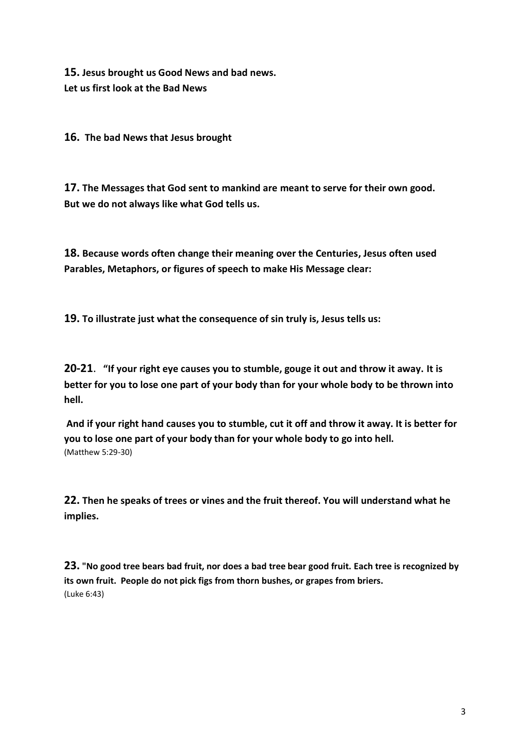**15. Jesus brought us Good News and bad news. Let us first look at the Bad News** 

**16. The bad News that Jesus brought**

**17. The Messages that God sent to mankind are meant to serve for their own good. But we do not always like what God tells us.** 

**18. Because words often change their meaning over the Centuries, Jesus often used Parables, Metaphors, or figures of speech to make His Message clear:**

**19. To illustrate just what the consequence of sin truly is, Jesus tells us:**

**20-21**. **"If your right eye causes you to stumble, gouge it out and throw it away. It is better for you to lose one part of your body than for your whole body to be thrown into hell.**

**And if your right hand causes you to stumble, cut it off and throw it away. It is better for you to lose one part of your body than for your whole body to go into hell.** (Matthew 5:29-30)

**22. Then he speaks of trees or vines and the fruit thereof. You will understand what he implies.**

**23. "No good tree bears bad fruit, nor does a bad tree bear good fruit. Each tree is recognized by its own fruit. People do not pick figs from thorn bushes, or grapes from briers.** (Luke 6:43)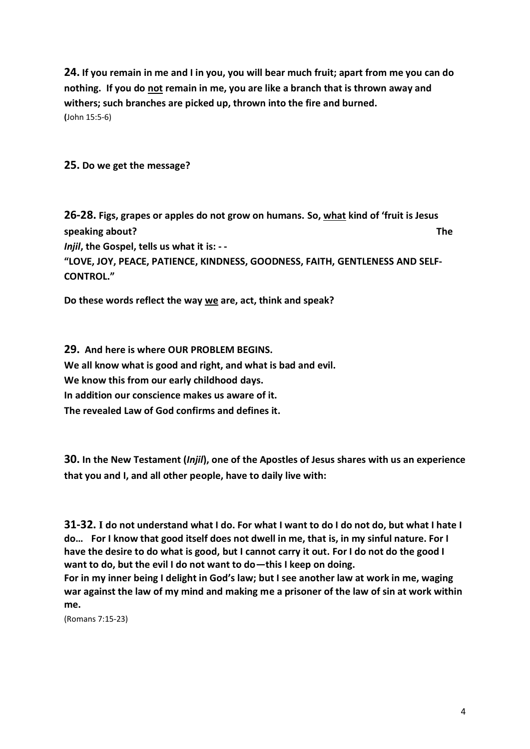**24. If you remain in me and I in you, you will bear much fruit; apart from me you can do nothing. If you do not remain in me, you are like a branch that is thrown away and withers; such branches are picked up, thrown into the fire and burned. (**John 15:5-6)

**25. Do we get the message?**

**26-28. Figs, grapes or apples do not grow on humans. So, what kind of 'fruit is Jesus speaking about? The**  *Injil***, the Gospel, tells us what it is: - - "LOVE, JOY, PEACE, PATIENCE, KINDNESS, GOODNESS, FAITH, GENTLENESS AND SELF-CONTROL."** 

**Do these words reflect the way we are, act, think and speak?**

**29. And here is where OUR PROBLEM BEGINS. We all know what is good and right, and what is bad and evil. We know this from our early childhood days. In addition our conscience makes us aware of it. The revealed Law of God confirms and defines it.**

**30. In the New Testament (***Injil***), one of the Apostles of Jesus shares with us an experience that you and I, and all other people, have to daily live with:**

**31-32. I do not understand what I do. For what I want to do I do not do, but what I hate I do… For I know that good itself does not dwell in me, that is, in my sinful nature. For I have the desire to do what is good, but I cannot carry it out. For I do not do the good I want to do, but the evil I do not want to do—this I keep on doing.**

**For in my inner being I delight in God's law; but I see another law at work in me, waging war against the law of my mind and making me a prisoner of the law of sin at work within me.** 

(Romans 7:15-23)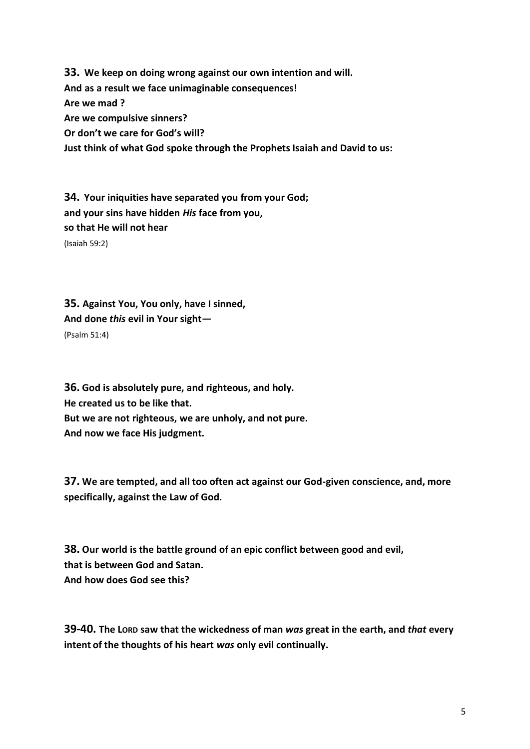**33. We keep on doing wrong against our own intention and will. And as a result we face unimaginable consequences! Are we mad ? Are we compulsive sinners? Or don't we care for God's will? Just think of what God spoke through the Prophets Isaiah and David to us:**

**34. Your iniquities have separated you from your God; and your sins have hidden** *His* **face from you, so that He will not hear**  (Isaiah 59:2)

**35. Against You, You only, have I sinned, And done** *this* **evil in Your sight—** (Psalm 51:4)

**36. God is absolutely pure, and righteous, and holy. He created us to be like that. But we are not righteous, we are unholy, and not pure. And now we face His judgment.**

**37. We are tempted, and all too often act against our God-given conscience, and, more specifically, against the Law of God.**

**38. Our world is the battle ground of an epic conflict between good and evil, that is between God and Satan. And how does God see this?**

**39-40. The LORD saw that the wickedness of man** *was* **great in the earth, and** *that* **every intent of the thoughts of his heart** *was* **only evil continually.**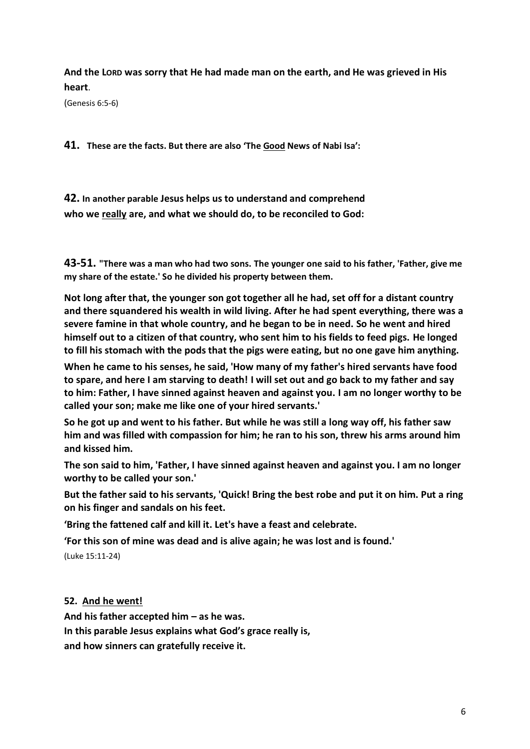**And the LORD was sorry that He had made man on the earth, and He was grieved in His heart**.

(Genesis 6:5-6)

**41. These are the facts. But there are also 'The Good News of Nabi Isa':** 

**42. In another parable Jesus helps us to understand and comprehend who we really are, and what we should do, to be reconciled to God:**

**43-51. "There was a man who had two sons. The younger one said to his father, 'Father, give me my share of the estate.' So he divided his property between them.**

**Not long after that, the younger son got together all he had, set off for a distant country and there squandered his wealth in wild living. After he had spent everything, there was a severe famine in that whole country, and he began to be in need. So he went and hired himself out to a citizen of that country, who sent him to his fields to feed pigs. He longed to fill his stomach with the pods that the pigs were eating, but no one gave him anything.**

**When he came to his senses, he said, 'How many of my father's hired servants have food to spare, and here I am starving to death! I will set out and go back to my father and say to him: Father, I have sinned against heaven and against you. I am no longer worthy to be called your son; make me like one of your hired servants.'**

**So he got up and went to his father. But while he was still a long way off, his father saw him and was filled with compassion for him; he ran to his son, threw his arms around him and kissed him.**

**The son said to him, 'Father, I have sinned against heaven and against you. I am no longer worthy to be called your son.'**

**But the father said to his servants, 'Quick! Bring the best robe and put it on him. Put a ring on his finger and sandals on his feet.**

**'Bring the fattened calf and kill it. Let's have a feast and celebrate.**

**'For this son of mine was dead and is alive again; he was lost and is found.'** 

(Luke 15:11-24)

**52. And he went!** 

**And his father accepted him – as he was. In this parable Jesus explains what God's grace really is,** 

**and how sinners can gratefully receive it.**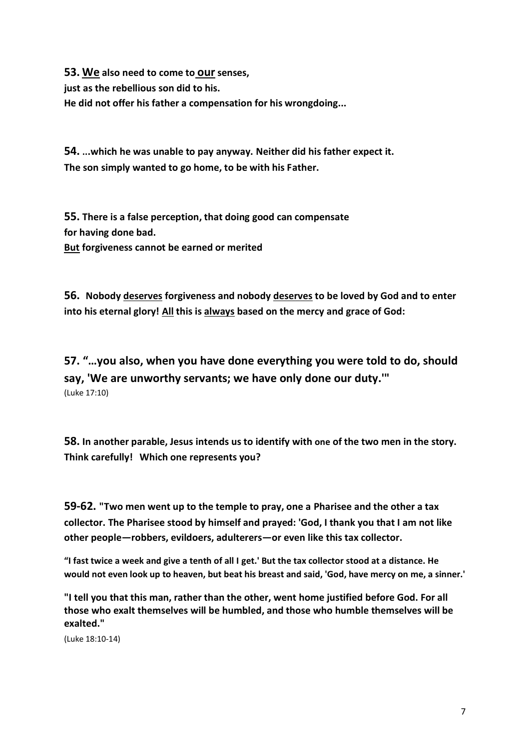**53. We also need to come to our senses, just as the rebellious son did to his. He did not offer his father a compensation for his wrongdoing...**

**54. ...which he was unable to pay anyway. Neither did his father expect it. The son simply wanted to go home, to be with his Father.** 

**55. There is a false perception, that doing good can compensate for having done bad. But forgiveness cannot be earned or merited**

**56. Nobody deserves forgiveness and nobody deserves to be loved by God and to enter into his eternal glory! All this is always based on the mercy and grace of God:**

**57. "…you also, when you have done everything you were told to do, should say, 'We are unworthy servants; we have only done our duty.'"**  (Luke 17:10)

**58. In another parable, Jesus intends us to identify with one of the two men in the story. Think carefully! Which one represents you?** 

**59-62. "Two men went up to the temple to pray, one a Pharisee and the other a tax collector. The Pharisee stood by himself and prayed: 'God, I thank you that I am not like other people—robbers, evildoers, adulterers—or even like this tax collector.**

**"I fast twice a week and give a tenth of all I get.' But the tax collector stood at a distance. He would not even look up to heaven, but beat his breast and said, 'God, have mercy on me, a sinner.'**

**"I tell you that this man, rather than the other, went home justified before God. For all those who exalt themselves will be humbled, and those who humble themselves will be exalted."**

(Luke 18:10-14)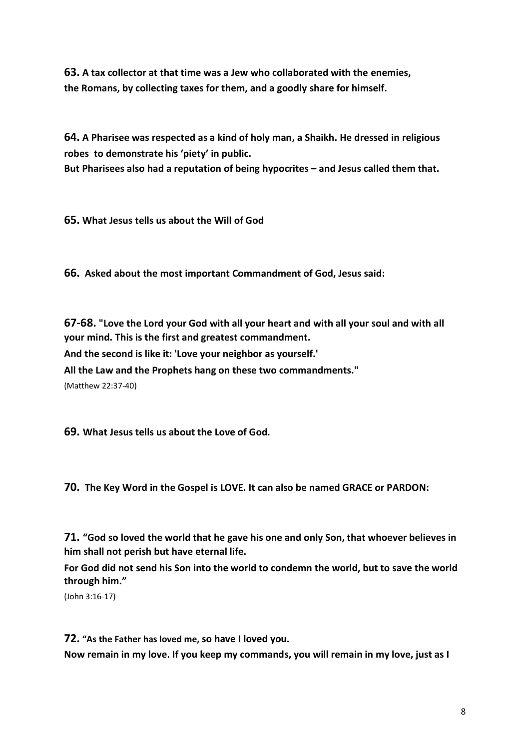**63. A tax collector at that time was a Jew who collaborated with the enemies, the Romans, by collecting taxes for them, and a goodly share for himself.**

**64. A Pharisee was respected as a kind of holy man, a Shaikh. He dressed in religious robes to demonstrate his 'piety' in public.** 

**But Pharisees also had a reputation of being hypocrites – and Jesus called them that.**

**65. What Jesus tells us about the Will of God**

**66. Asked about the most important Commandment of God, Jesus said:**

**67-68. "Love the Lord your God with all your heart and with all your soul and with all your mind. This is the first and greatest commandment. And the second is like it: 'Love your neighbor as yourself.' All the Law and the Prophets hang on these two commandments."**

(Matthew 22:37-40)

**69. What Jesus tells us about the Love of God.**

**70. The Key Word in the Gospel is LOVE. It can also be named GRACE or PARDON:**

**71. "God so loved the world that he gave his one and only Son, that whoever believes in him shall not perish but have eternal life.**

**For God did not send his Son into the world to condemn the world, but to save the world through him."**

(John 3:16-17)

**72. "As the Father has loved me, so have I loved you.** 

**Now remain in my love. If you keep my commands, you will remain in my love, just as I**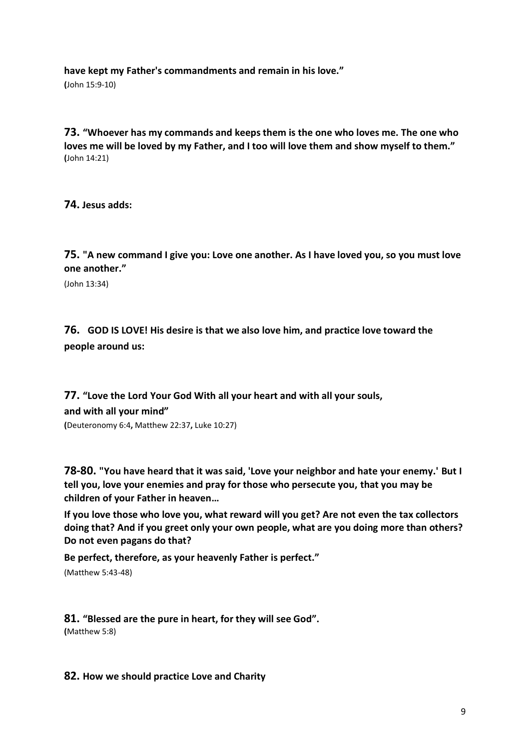**have kept my Father's commandments and remain in his love."** 

**(**John 15:9-10)

**73. "Whoever has my commands and keeps them is the one who loves me. The one who loves me will be loved by my Father, and I too will love them and show myself to them." (**John 14:21)

**74. Jesus adds:**

**75. "A new command I give you: Love one another. As I have loved you, so you must love one another."**

(John 13:34)

**76. GOD IS LOVE! His desire is that we also love him, and practice love toward the people around us:**

**77. "Love the Lord Your God With all your heart and with all your souls, and with all your mind" (**Deuteronomy 6:4**,** Matthew 22:37**,** Luke 10:27)

**78-80. "You have heard that it was said, 'Love your neighbor and hate your enemy.' But I tell you, love your enemies and pray for those who persecute you, that you may be children of your Father in heaven…**

**If you love those who love you, what reward will you get? Are not even the tax collectors doing that? And if you greet only your own people, what are you doing more than others? Do not even pagans do that?**

**Be perfect, therefore, as your heavenly Father is perfect."**

(Matthew 5:43-48)

**81. "Blessed are the pure in heart, for they will see God". (**Matthew 5:8)

**82. How we should practice Love and Charity**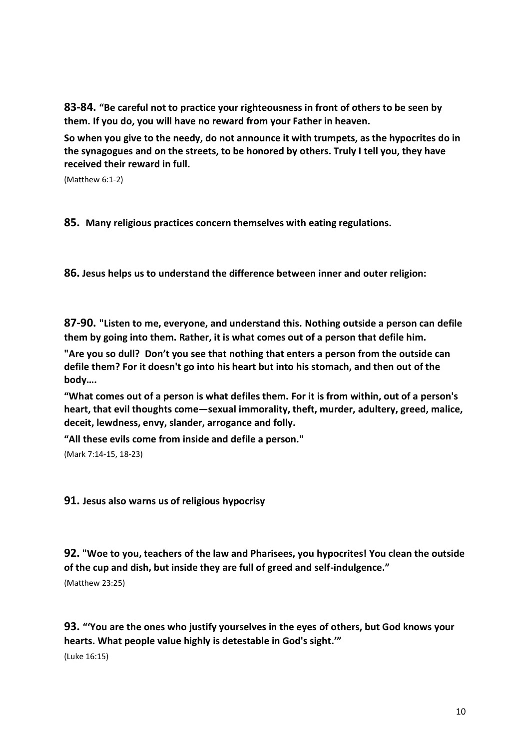**83-84. "Be careful not to practice your righteousness in front of others to be seen by them. If you do, you will have no reward from your Father in heaven.**

**So when you give to the needy, do not announce it with trumpets, as the hypocrites do in the synagogues and on the streets, to be honored by others. Truly I tell you, they have received their reward in full.**

(Matthew 6:1-2)

**85. Many religious practices concern themselves with eating regulations.**

**86. Jesus helps us to understand the difference between inner and outer religion:** 

**87-90. "Listen to me, everyone, and understand this. Nothing outside a person can defile them by going into them. Rather, it is what comes out of a person that defile him.**

**"Are you so dull? Don't you see that nothing that enters a person from the outside can defile them? For it doesn't go into his heart but into his stomach, and then out of the body….**

**"What comes out of a person is what defiles them. For it is from within, out of a person's heart, that evil thoughts come—sexual immorality, theft, murder, adultery, greed, malice, deceit, lewdness, envy, slander, arrogance and folly.**

**"All these evils come from inside and defile a person."**

(Mark 7:14-15, 18-23)

**91. Jesus also warns us of religious hypocrisy**

**92. "Woe to you, teachers of the law and Pharisees, you hypocrites! You clean the outside of the cup and dish, but inside they are full of greed and self-indulgence."**

(Matthew 23:25)

**93. "'You are the ones who justify yourselves in the eyes of others, but God knows your hearts. What people value highly is detestable in God's sight.'"**

(Luke 16:15)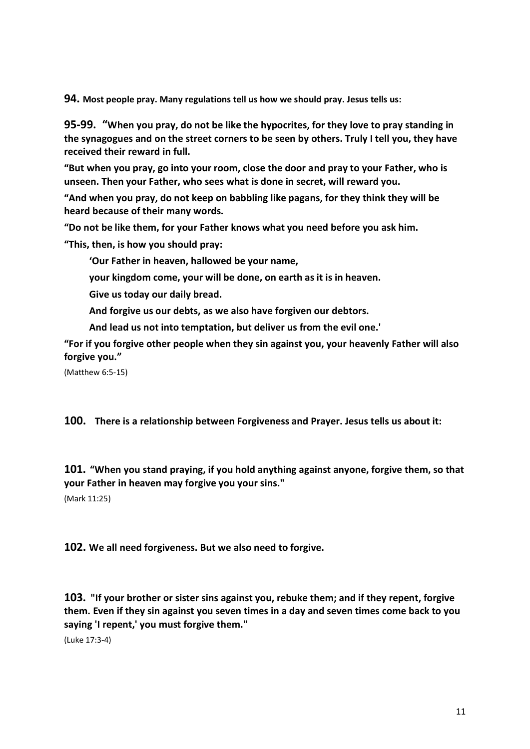**94. Most people pray. Many regulations tell us how we should pray. Jesus tells us:**

**95-99. "When you pray, do not be like the hypocrites, for they love to pray standing in the synagogues and on the street corners to be seen by others. Truly I tell you, they have received their reward in full.**

**"But when you pray, go into your room, close the door and pray to your Father, who is unseen. Then your Father, who sees what is done in secret, will reward you.**

**"And when you pray, do not keep on babbling like pagans, for they think they will be heard because of their many words.**

**"Do not be like them, for your Father knows what you need before you ask him.**

**"This, then, is how you should pray:**

**'Our Father in heaven, hallowed be your name,**

**your kingdom come, your will be done, on earth as it is in heaven.**

**Give us today our daily bread.**

**And forgive us our debts, as we also have forgiven our debtors.**

**And lead us not into temptation, but deliver us from the evil one.'**

**"For if you forgive other people when they sin against you, your heavenly Father will also forgive you."**

(Matthew 6:5-15)

**100. There is a relationship between Forgiveness and Prayer. Jesus tells us about it:** 

**101. "When you stand praying, if you hold anything against anyone, forgive them, so that your Father in heaven may forgive you your sins."** (Mark 11:25)

**102. We all need forgiveness. But we also need to forgive.** 

**103. "If your brother or sister sins against you, rebuke them; and if they repent, forgive them. Even if they sin against you seven times in a day and seven times come back to you saying 'I repent,' you must forgive them."**

(Luke 17:3-4)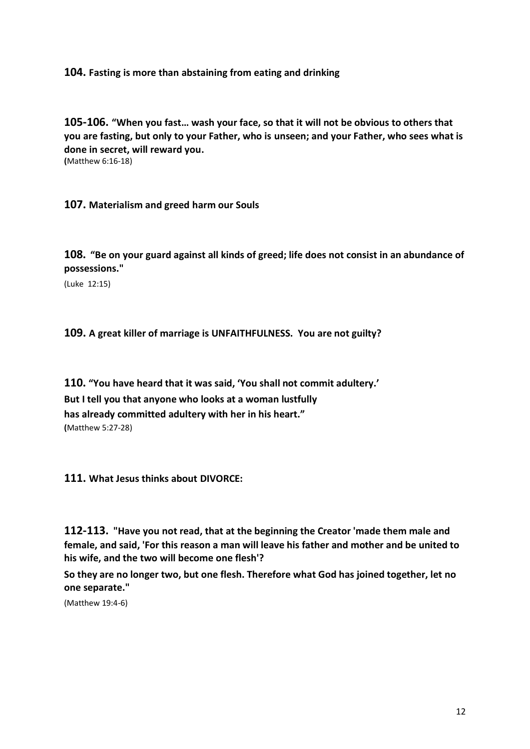### **104. Fasting is more than abstaining from eating and drinking**

**105-106. "When you fast… wash your face, so that it will not be obvious to others that you are fasting, but only to your Father, who is unseen; and your Father, who sees what is done in secret, will reward you.** 

**(**Matthew 6:16-18)

**107. Materialism and greed harm our Souls**

**108. "Be on your guard against all kinds of greed; life does not consist in an abundance of possessions."**

(Luke 12:15)

**109. A great killer of marriage is UNFAITHFULNESS. You are not guilty?** 

**110. "You have heard that it was said, 'You shall not commit adultery.' But I tell you that anyone who looks at a woman lustfully has already committed adultery with her in his heart." (**Matthew 5:27-28)

**111. What Jesus thinks about DIVORCE:**

**112-113. "Have you not read, that at the beginning the Creator 'made them male and female, and said, 'For this reason a man will leave his father and mother and be united to his wife, and the two will become one flesh'?**

**So they are no longer two, but one flesh. Therefore what God has joined together, let no one separate."**

(Matthew 19:4-6)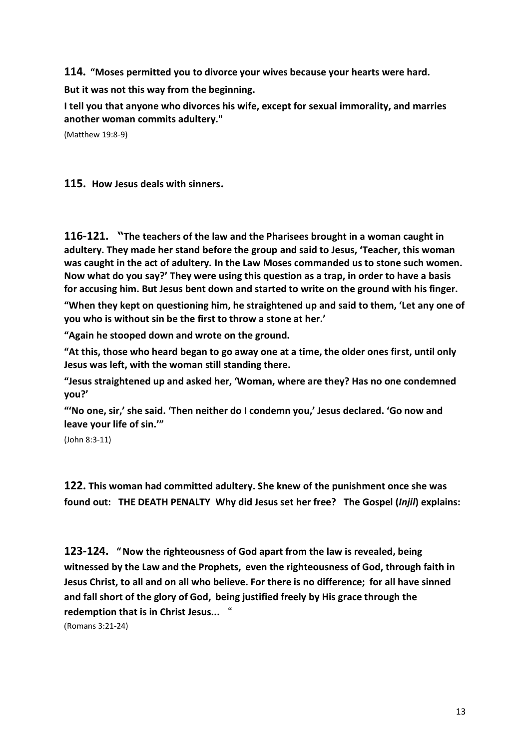**114. "Moses permitted you to divorce your wives because your hearts were hard.** 

**But it was not this way from the beginning.**

**I tell you that anyone who divorces his wife, except for sexual immorality, and marries another woman commits adultery."**

(Matthew 19:8-9)

**115. How Jesus deals with sinners.**

**116-121. "The teachers of the law and the Pharisees brought in a woman caught in adultery. They made her stand before the group and said to Jesus, 'Teacher, this woman was caught in the act of adultery. In the Law Moses commanded us to stone such women. Now what do you say?' They were using this question as a trap, in order to have a basis for accusing him. But Jesus bent down and started to write on the ground with his finger.**

**"When they kept on questioning him, he straightened up and said to them, 'Let any one of you who is without sin be the first to throw a stone at her.'**

**"Again he stooped down and wrote on the ground.**

**"At this, those who heard began to go away one at a time, the older ones first, until only Jesus was left, with the woman still standing there.**

**"Jesus straightened up and asked her, 'Woman, where are they? Has no one condemned you?'**

**"'No one, sir,' she said. 'Then neither do I condemn you,' Jesus declared. 'Go now and leave your life of sin.'"**

(John 8:3-11)

**122. This woman had committed adultery. She knew of the punishment once she was found out: THE DEATH PENALTY Why did Jesus set her free? The Gospel (***Injil***) explains:**

**123-124. "Now the righteousness of God apart from the law is revealed, being witnessed by the Law and the Prophets, even the righteousness of God, through faith in Jesus Christ, to all and on all who believe. For there is no difference; for all have sinned and fall short of the glory of God, being justified freely by His grace through the redemption that is in Christ Jesus...** "

(Romans 3:21-24)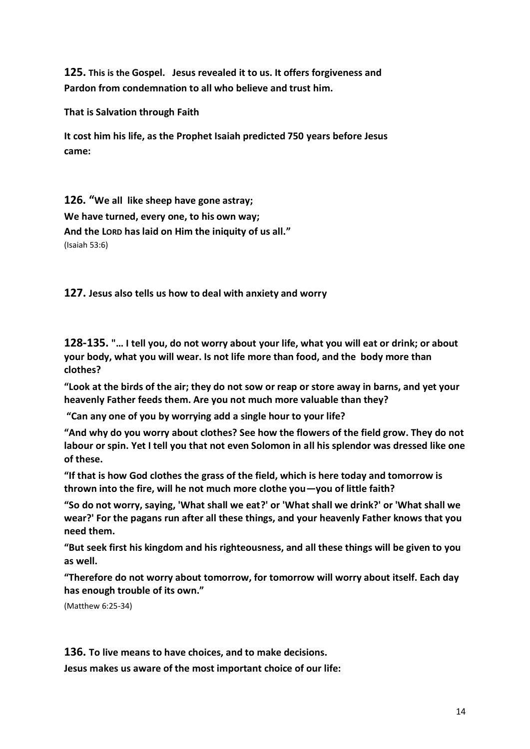**125. This is the Gospel. Jesus revealed it to us. It offers forgiveness and Pardon from condemnation to all who believe and trust him.** 

**That is Salvation through Faith**

**It cost him his life, as the Prophet Isaiah predicted 750 years before Jesus came:**

**126. "We all like sheep have gone astray; We have turned, every one, to his own way; And the LORD has laid on Him the iniquity of us all."**  (Isaiah 53:6)

**127. Jesus also tells us how to deal with anxiety and worry** 

**128-135. "… I tell you, do not worry about your life, what you will eat or drink; or about your body, what you will wear. Is not life more than food, and the body more than clothes?**

**"Look at the birds of the air; they do not sow or reap or store away in barns, and yet your heavenly Father feeds them. Are you not much more valuable than they?**

**"Can any one of you by worrying add a single hour to your life?**

**"And why do you worry about clothes? See how the flowers of the field grow. They do not labour or spin. Yet I tell you that not even Solomon in all his splendor was dressed like one of these.**

**"If that is how God clothes the grass of the field, which is here today and tomorrow is thrown into the fire, will he not much more clothe you—you of little faith?**

**"So do not worry, saying, 'What shall we eat?' or 'What shall we drink?' or 'What shall we wear?' For the pagans run after all these things, and your heavenly Father knows that you need them.**

**"But seek first his kingdom and his righteousness, and all these things will be given to you as well.**

**"Therefore do not worry about tomorrow, for tomorrow will worry about itself. Each day has enough trouble of its own."**

(Matthew 6:25-34)

**136. To live means to have choices, and to make decisions.** 

**Jesus makes us aware of the most important choice of our life:**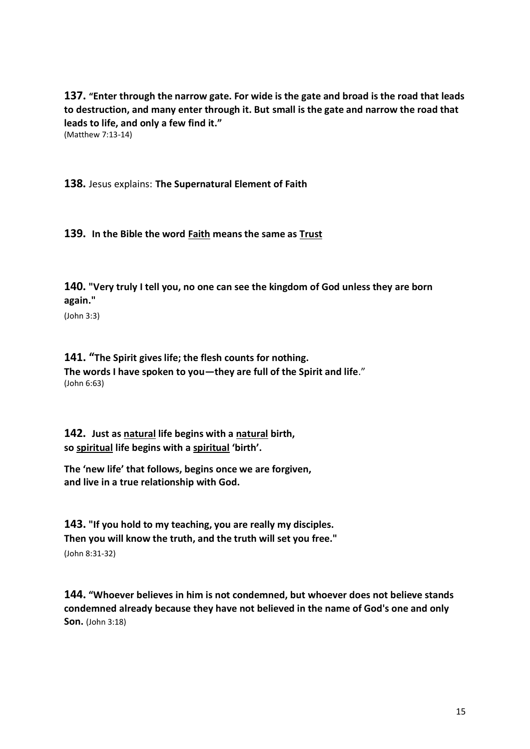**137. "Enter through the narrow gate. For wide is the gate and broad is the road that leads to destruction, and many enter through it. But small is the gate and narrow the road that leads to life, and only a few find it."** (Matthew 7:13-14)

**138.** Jesus explains: **The Supernatural Element of Faith**

**139. In the Bible the word Faith means the same as Trust**

**140. "Very truly I tell you, no one can see the kingdom of God unless they are born again."**

(John 3:3)

**141. "The Spirit gives life; the flesh counts for nothing. The words I have spoken to you—they are full of the Spirit and life**." (John 6:63)

**142. Just as natural life begins with a natural birth, so spiritual life begins with a spiritual 'birth'.** 

**The 'new life' that follows, begins once we are forgiven, and live in a true relationship with God.** 

**143. "If you hold to my teaching, you are really my disciples. Then you will know the truth, and the truth will set you free."** (John 8:31-32)

**144. "Whoever believes in him is not condemned, but whoever does not believe stands condemned already because they have not believed in the name of God's one and only Son.** (John 3:18)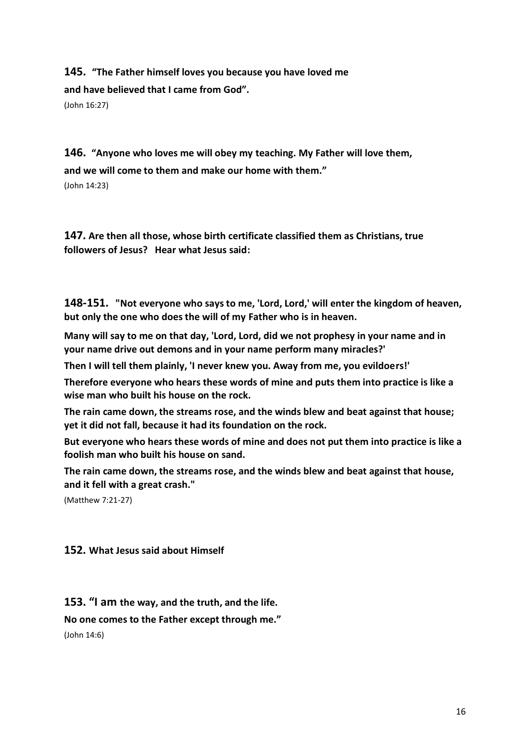**145. "The Father himself loves you because you have loved me and have believed that I came from God".** (John 16:27)

**146. "Anyone who loves me will obey my teaching. My Father will love them, and we will come to them and make our home with them."** (John 14:23)

**147. Are then all those, whose birth certificate classified them as Christians, true followers of Jesus? Hear what Jesus said:**

**148-151. "Not everyone who says to me, 'Lord, Lord,' will enter the kingdom of heaven, but only the one who does the will of my Father who is in heaven.**

**Many will say to me on that day, 'Lord, Lord, did we not prophesy in your name and in your name drive out demons and in your name perform many miracles?'**

**Then I will tell them plainly, 'I never knew you. Away from me, you evildoers!'**

**Therefore everyone who hears these words of mine and puts them into practice is like a wise man who built his house on the rock.**

**The rain came down, the streams rose, and the winds blew and beat against that house; yet it did not fall, because it had its foundation on the rock.**

**But everyone who hears these words of mine and does not put them into practice is like a foolish man who built his house on sand.**

**The rain came down, the streams rose, and the winds blew and beat against that house, and it fell with a great crash."**

(Matthew 7:21-27)

### **152. What Jesus said about Himself**

**153. "I am the way, and the truth, and the life.** 

**No one comes to the Father except through me."**

(John 14:6)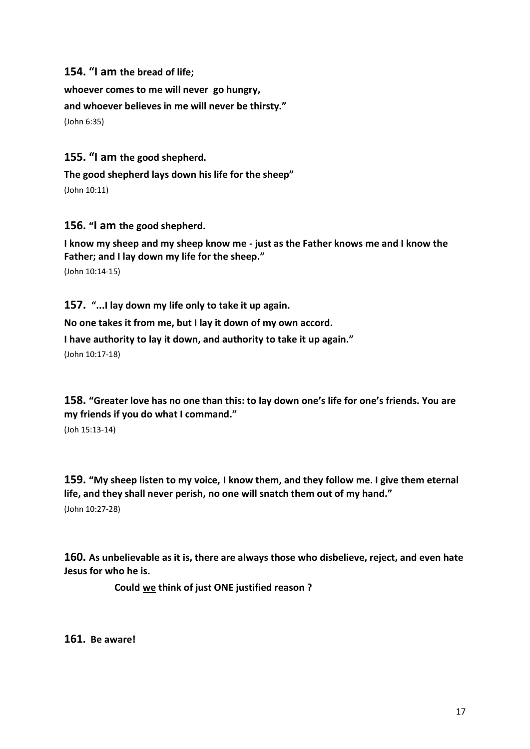**154. "I am the bread of life;** 

**whoever comes to me will never go hungry, and whoever believes in me will never be thirsty."** (John 6:35)

**155. "I am the good shepherd.** 

**The good shepherd lays down his life for the sheep"** 

(John 10:11)

**156. "I am the good shepherd.** 

**I know my sheep and my sheep know me - just as the Father knows me and I know the Father; and I lay down my life for the sheep."** 

(John 10:14-15)

**157. "...I lay down my life only to take it up again. No one takes it from me, but I lay it down of my own accord. I have authority to lay it down, and authority to take it up again."**  (John 10:17-18)

**158. "Greater love has no one than this: to lay down one's life for one's friends. You are my friends if you do what I command."**

(Joh 15:13-14)

**159. "My sheep listen to my voice, I know them, and they follow me. I give them eternal life, and they shall never perish, no one will snatch them out of my hand."**  (John 10:27-28)

**160. As unbelievable as it is, there are always those who disbelieve, reject, and even hate Jesus for who he is.** 

**Could we think of just ONE justified reason ?**

**161. Be aware!**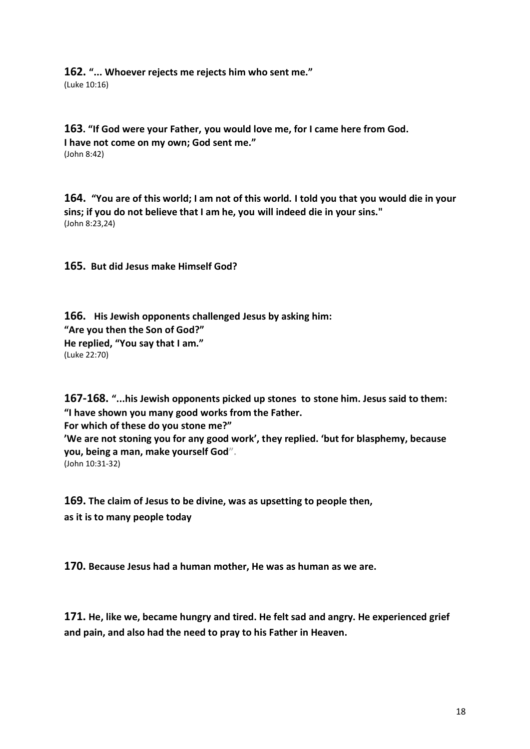**162. "... Whoever rejects me rejects him who sent me."**  (Luke 10:16)

**163. "If God were your Father, you would love me, for I came here from God. I have not come on my own; God sent me."**  (John 8:42)

**164. "You are of this world; I am not of this world. I told you that you would die in your sins; if you do not believe that I am he, you will indeed die in your sins."** (John 8:23,24)

**165. But did Jesus make Himself God?**

**166. His Jewish opponents challenged Jesus by asking him: "Are you then the Son of God?" He replied, "You say that I am."** (Luke 22:70)

**167-168. "...his Jewish opponents picked up stones to stone him. Jesus said to them: "I have shown you many good works from the Father. For which of these do you stone me?" 'We are not stoning you for any good work', they replied. 'but for blasphemy, because you, being a man, make yourself God".**  (John 10:31-32)

**169. The claim of Jesus to be divine, was as upsetting to people then, as it is to many people today**

**170. Because Jesus had a human mother, He was as human as we are.**

**171. He, like we, became hungry and tired. He felt sad and angry. He experienced grief and pain, and also had the need to pray to his Father in Heaven.**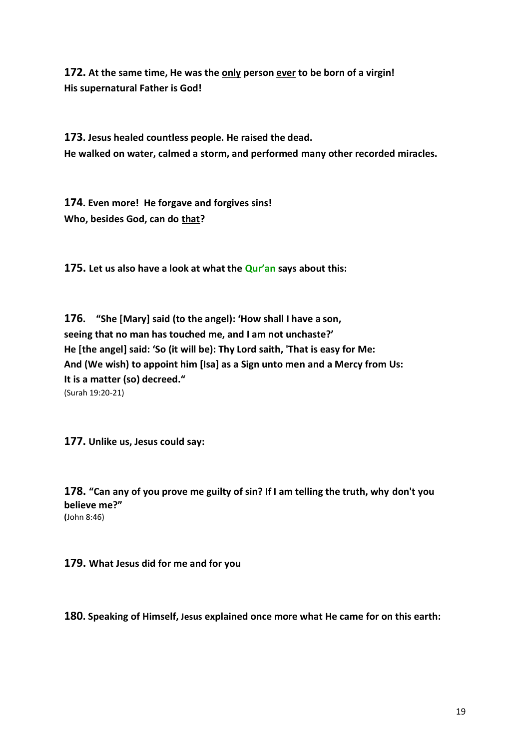**172. At the same time, He was the only person ever to be born of a virgin! His supernatural Father is God!**

**173. Jesus healed countless people. He raised the dead. He walked on water, calmed a storm, and performed many other recorded miracles.**

**174. Even more! He forgave and forgives sins! Who, besides God, can do that?** 

**175. Let us also have a look at what the Qur'an says about this:** 

**176. "She [Mary] said (to the angel): 'How shall I have a son, seeing that no man has touched me, and I am not unchaste?' He [the angel] said: 'So (it will be): Thy Lord saith, 'That is easy for Me: And (We wish) to appoint him [Isa] as a Sign unto men and a Mercy from Us: It is a matter (so) decreed."**  (Surah 19:20-21)

**177. Unlike us, Jesus could say:**

**178. "Can any of you prove me guilty of sin? If I am telling the truth, why don't you believe me?" (**John 8:46)

**179. What Jesus did for me and for you**

**180. Speaking of Himself, Jesus explained once more what He came for on this earth:**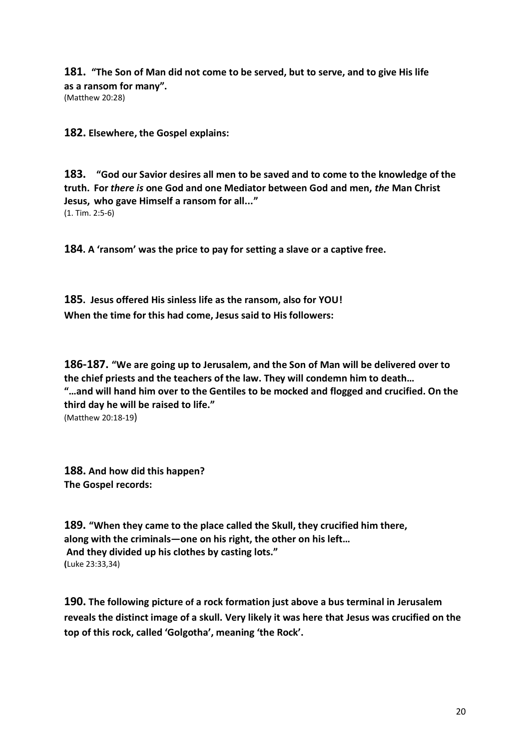**181. "The Son of Man did not come to be served, but to serve, and to give His life as a ransom for many".**

(Matthew 20:28)

**182. Elsewhere, the Gospel explains:**

**183. "God our Savior desires all men to be saved and to come to the knowledge of the truth. For** *there is* **one God and one Mediator between God and men,** *the* **Man Christ Jesus, who gave Himself a ransom for all..."** (1. Tim. 2:5-6)

**184. A 'ransom' was the price to pay for setting a slave or a captive free.** 

**185. Jesus offered His sinless life as the ransom, also for YOU! When the time for this had come, Jesus said to His followers:**

**186-187. "We are going up to Jerusalem, and the Son of Man will be delivered over to the chief priests and the teachers of the law. They will condemn him to death… "…and will hand him over to the Gentiles to be mocked and flogged and crucified. On the third day he will be raised to life."** (Matthew 20:18-19)

**188. And how did this happen? The Gospel records:**

**189. "When they came to the place called the Skull, they crucified him there, along with the criminals—one on his right, the other on his left… And they divided up his clothes by casting lots." (**Luke 23:33,34)

**190. The following picture of a rock formation just above a bus terminal in Jerusalem reveals the distinct image of a skull. Very likely it was here that Jesus was crucified on the top of this rock, called 'Golgotha', meaning 'the Rock'.**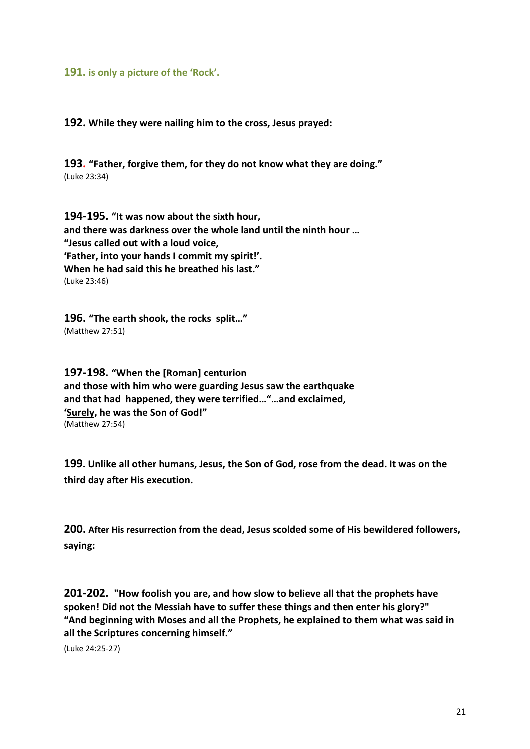#### **191. is only a picture of the 'Rock'.**

**192. While they were nailing him to the cross, Jesus prayed:** 

**193. "Father, forgive them, for they do not know what they are doing."** (Luke 23:34)

**194-195. "It was now about the sixth hour, and there was darkness over the whole land until the ninth hour … "Jesus called out with a loud voice, 'Father, into your hands I commit my spirit!'. When he had said this he breathed his last."** (Luke 23:46)

**196. "The earth shook, the rocks split…"** (Matthew 27:51)

**197-198. "When the [Roman] centurion and those with him who were guarding Jesus saw the earthquake and that had happened, they were terrified…"…and exclaimed, 'Surely, he was the Son of God!"** (Matthew 27:54)

**199. Unlike all other humans, Jesus, the Son of God, rose from the dead. It was on the third day after His execution.** 

**200. After His resurrection from the dead, Jesus scolded some of His bewildered followers, saying:** 

**201-202. "How foolish you are, and how slow to believe all that the prophets have spoken! Did not the Messiah have to suffer these things and then enter his glory?" "And beginning with Moses and all the Prophets, he explained to them what was said in all the Scriptures concerning himself."**

(Luke 24:25-27)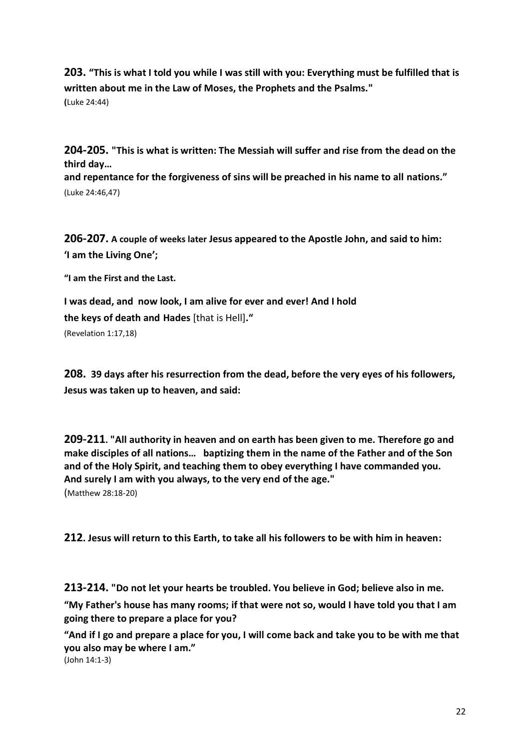**203. "This is what I told you while I was still with you: Everything must be fulfilled that is written about me in the Law of Moses, the Prophets and the Psalms." (**Luke 24:44)

**204-205. "This is what is written: The Messiah will suffer and rise from the dead on the third day…** 

**and repentance for the forgiveness of sins will be preached in his name to all nations."** (Luke 24:46,47)

**206-207. A couple of weeks later Jesus appeared to the Apostle John, and said to him: 'I am the Living One';**

**"I am the First and the Last.** 

**I was dead, and now look, I am alive for ever and ever! And I hold the keys of death and Hades** [that is Hell]**."** (Revelation 1:17,18)

**208. 39 days after his resurrection from the dead, before the very eyes of his followers, Jesus was taken up to heaven, and said:** 

**209-211. "All authority in heaven and on earth has been given to me. Therefore go and make disciples of all nations… baptizing them in the name of the Father and of the Son and of the Holy Spirit, and teaching them to obey everything I have commanded you. And surely I am with you always, to the very end of the age."** (Matthew 28:18-20)

**212. Jesus will return to this Earth, to take all his followers to be with him in heaven:**

**213-214. "Do not let your hearts be troubled. You believe in God; believe also in me.**

**"My Father's house has many rooms; if that were not so, would I have told you that I am going there to prepare a place for you?**

**"And if I go and prepare a place for you, I will come back and take you to be with me that you also may be where I am."** 

(John 14:1-3)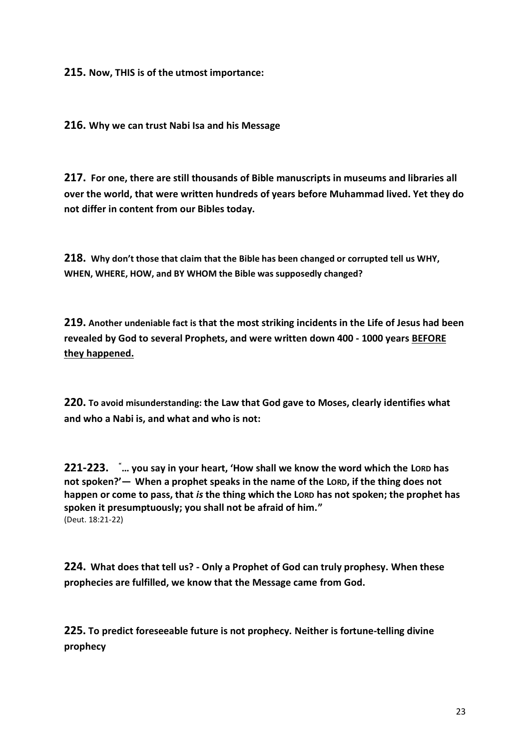**215. Now, THIS is of the utmost importance:** 

**216. Why we can trust Nabi Isa and his Message**

**217. For one, there are still thousands of Bible manuscripts in museums and libraries all over the world, that were written hundreds of years before Muhammad lived. Yet they do not differ in content from our Bibles today.** 

**218. Why don't those that claim that the Bible has been changed or corrupted tell us WHY, WHEN, WHERE, HOW, and BY WHOM the Bible was supposedly changed?**

**219. Another undeniable fact is that the most striking incidents in the Life of Jesus had been revealed by God to several Prophets, and were written down 400 - 1000 years BEFORE they happened.**

**220. To avoid misunderstanding: the Law that God gave to Moses, clearly identifies what and who a Nabi is, and what and who is not:** 

**221-223.** "**… you say in your heart, 'How shall we know the word which the LORD has not spoken?'— When a prophet speaks in the name of the LORD, if the thing does not happen or come to pass, that** *is* **the thing which the LORD has not spoken; the prophet has spoken it presumptuously; you shall not be afraid of him."** (Deut. 18:21-22)

**224. What does that tell us? - Only a Prophet of God can truly prophesy. When these prophecies are fulfilled, we know that the Message came from God.** 

**225. To predict foreseeable future is not prophecy. Neither is fortune-telling divine prophecy**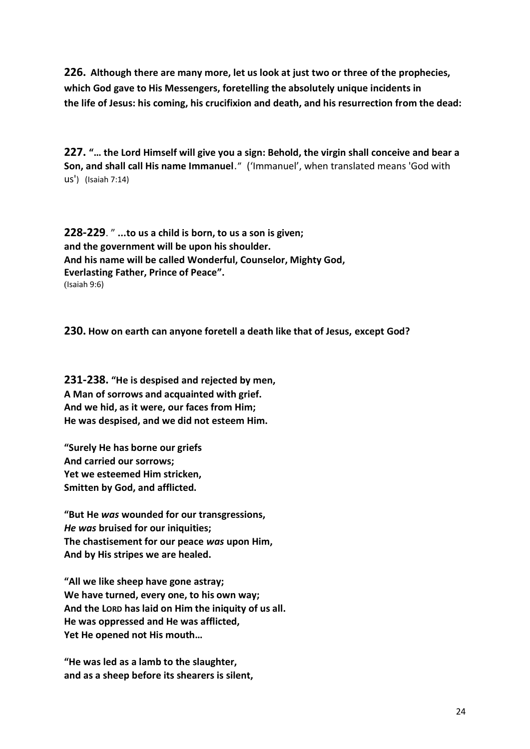**226. Although there are many more, let us look at just two or three of the prophecies, which God gave to His Messengers, foretelling the absolutely unique incidents in the life of Jesus: his coming, his crucifixion and death, and his resurrection from the dead:**

**227. "… the Lord Himself will give you a sign: Behold, the virgin shall conceive and bear a Son, and shall call His name Immanuel**." ('Immanuel', when translated means 'God with us') (Isaiah 7:14)

**228-229**. " **...to us a child is born, to us a son is given; and the government will be upon his shoulder. And his name will be called Wonderful, Counselor, Mighty God, Everlasting Father, Prince of Peace".** (Isaiah 9:6)

**230. How on earth can anyone foretell a death like that of Jesus, except God?**

**231-238. "He is despised and rejected by men, A Man of sorrows and acquainted with grief. And we hid, as it were, our faces from Him; He was despised, and we did not esteem Him.**

**"Surely He has borne our griefs And carried our sorrows; Yet we esteemed Him stricken, Smitten by God, and afflicted.**

**"But He** *was* **wounded for our transgressions,** *He was* **bruised for our iniquities; The chastisement for our peace** *was* **upon Him, And by His stripes we are healed.**

**"All we like sheep have gone astray; We have turned, every one, to his own way; And the LORD has laid on Him the iniquity of us all. He was oppressed and He was afflicted, Yet He opened not His mouth…**

**"He was led as a lamb to the slaughter, and as a sheep before its shearers is silent,**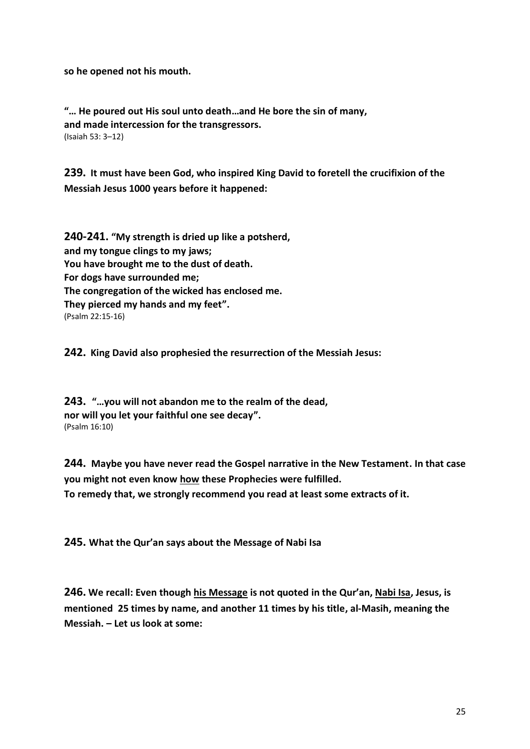**so he opened not his mouth.**

**"… He poured out His soul unto death…and He bore the sin of many, and made intercession for the transgressors.** (Isaiah 53: 3–12)

**239. It must have been God, who inspired King David to foretell the crucifixion of the Messiah Jesus 1000 years before it happened:**

**240-241. "My strength is dried up like a potsherd, and my tongue clings to my jaws; You have brought me to the dust of death. For dogs have surrounded me; The congregation of the wicked has enclosed me. They pierced my hands and my feet".** (Psalm 22:15-16)

**242. King David also prophesied the resurrection of the Messiah Jesus:**

**243. "…you will not abandon me to the realm of the dead, nor will you let your faithful one see decay".**  (Psalm 16:10)

**244. Maybe you have never read the Gospel narrative in the New Testament. In that case you might not even know how these Prophecies were fulfilled. To remedy that, we strongly recommend you read at least some extracts of it.**

**245. What the Qur'an says about the Message of Nabi Isa**

**246. We recall: Even though his Message is not quoted in the Qur'an, Nabi Isa, Jesus, is mentioned 25 times by name, and another 11 times by his title, al-Masih, meaning the Messiah. – Let us look at some:**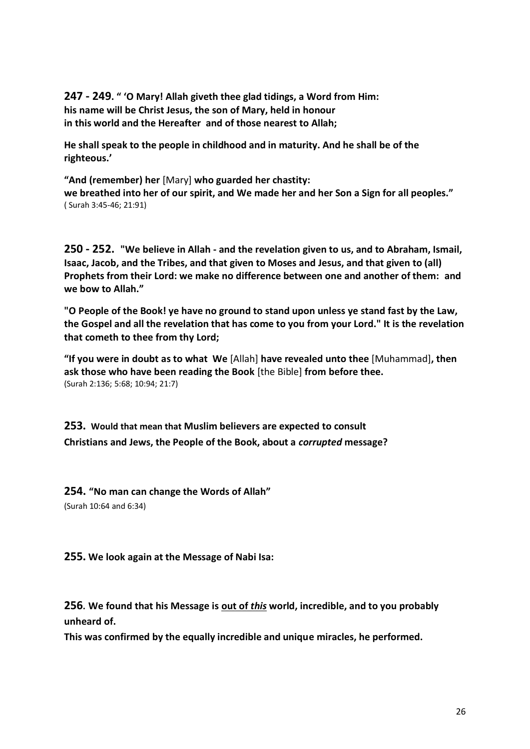**247 - 249. " 'O Mary! Allah giveth thee glad tidings, a Word from Him: his name will be Christ Jesus, the son of Mary, held in honour in this world and the Hereafter and of those nearest to Allah;**

**He shall speak to the people in childhood and in maturity. And he shall be of the righteous.'**

**"And (remember) her** [Mary] **who guarded her chastity: we breathed into her of our spirit, and We made her and her Son a Sign for all peoples."**  ( Surah 3:45-46; 21:91)

**250 - 252. "We believe in Allah - and the revelation given to us, and to Abraham, Ismail, Isaac, Jacob, and the Tribes, and that given to Moses and Jesus, and that given to (all) Prophets from their Lord: we make no difference between one and another of them: and we bow to Allah."** 

**"O People of the Book! ye have no ground to stand upon unless ye stand fast by the Law, the Gospel and all the revelation that has come to you from your Lord." It is the revelation that cometh to thee from thy Lord;**

**"If you were in doubt as to what We** [Allah] **have revealed unto thee** [Muhammad]**, then ask those who have been reading the Book** [the Bible] **from before thee.**  (Surah 2:136; 5:68; 10:94; 21:7)

**253. Would that mean that Muslim believers are expected to consult Christians and Jews, the People of the Book, about a** *corrupted* **message?**

**254. "No man can change the Words of Allah"**  (Surah 10:64 and 6:34)

**255. We look again at the Message of Nabi Isa:** 

**256. We found that his Message is out of** *this* **world, incredible, and to you probably unheard of.** 

**This was confirmed by the equally incredible and unique miracles, he performed.**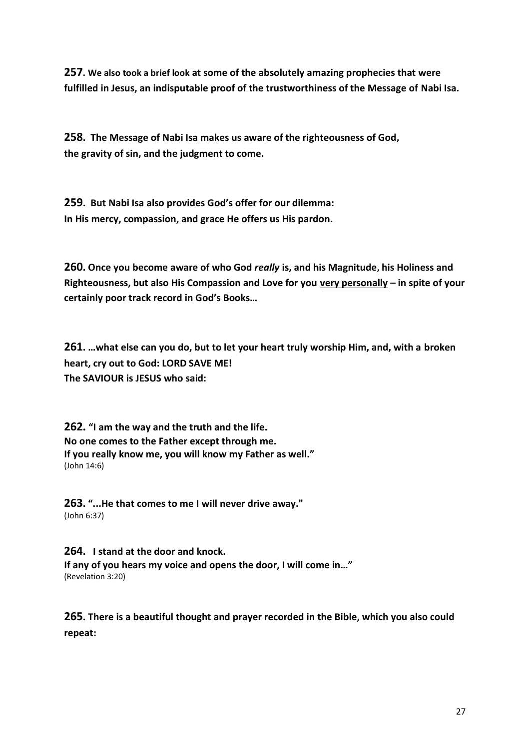**257. We also took a brief look at some of the absolutely amazing prophecies that were fulfilled in Jesus, an indisputable proof of the trustworthiness of the Message of Nabi Isa.**

**258. The Message of Nabi Isa makes us aware of the righteousness of God, the gravity of sin, and the judgment to come.** 

**259. But Nabi Isa also provides God's offer for our dilemma: In His mercy, compassion, and grace He offers us His pardon.**

**260. Once you become aware of who God** *really* **is, and his Magnitude, his Holiness and Righteousness, but also His Compassion and Love for you very personally – in spite of your certainly poor track record in God's Books…** 

**261. …what else can you do, but to let your heart truly worship Him, and, with a broken heart, cry out to God: LORD SAVE ME! The SAVIOUR is JESUS who said:**

**262. "I am the way and the truth and the life. No one comes to the Father except through me. If you really know me, you will know my Father as well."**  (John 14:6)

**263. "...He that comes to me I will never drive away."**  (John 6:37)

**264. I stand at the door and knock. If any of you hears my voice and opens the door, I will come in…"**  (Revelation 3:20)

**265. There is a beautiful thought and prayer recorded in the Bible, which you also could repeat:**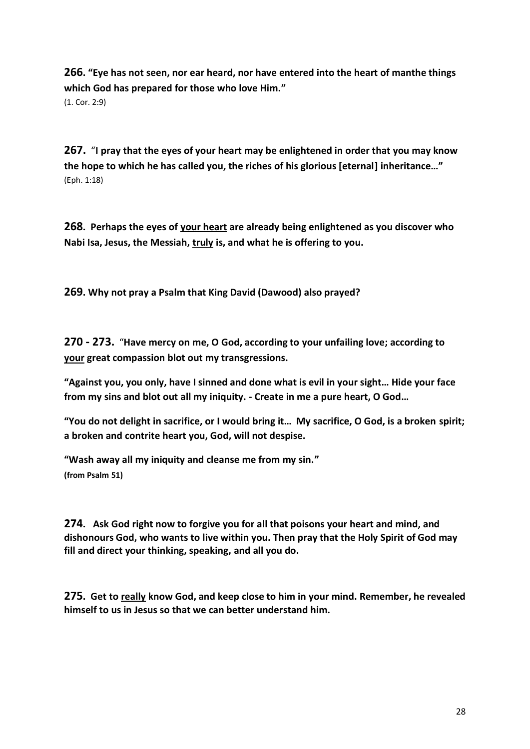**266. "Eye has not seen, nor ear heard, nor have entered into the heart of manthe things which God has prepared for those who love Him."**  (1. Cor. 2:9)

**267.** "**I pray that the eyes of your heart may be enlightened in order that you may know the hope to which he has called you, the riches of his glorious [eternal] inheritance…"**  (Eph. 1:18)

**268. Perhaps the eyes of your heart are already being enlightened as you discover who Nabi Isa, Jesus, the Messiah, truly is, and what he is offering to you.** 

**269. Why not pray a Psalm that King David (Dawood) also prayed?** 

**270 - 273.** "**Have mercy on me, O God, according to your unfailing love; according to your great compassion blot out my transgressions.**

**"Against you, you only, have I sinned and done what is evil in your sight… Hide your face from my sins and blot out all my iniquity. - Create in me a pure heart, O God…**

**"You do not delight in sacrifice, or I would bring it… My sacrifice, O God, is a broken spirit; a broken and contrite heart you, God, will not despise.** 

**"Wash away all my iniquity and cleanse me from my sin." (from Psalm 51)** 

**274. Ask God right now to forgive you for all that poisons your heart and mind, and dishonours God, who wants to live within you. Then pray that the Holy Spirit of God may fill and direct your thinking, speaking, and all you do.** 

**275. Get to really know God, and keep close to him in your mind. Remember, he revealed himself to us in Jesus so that we can better understand him.**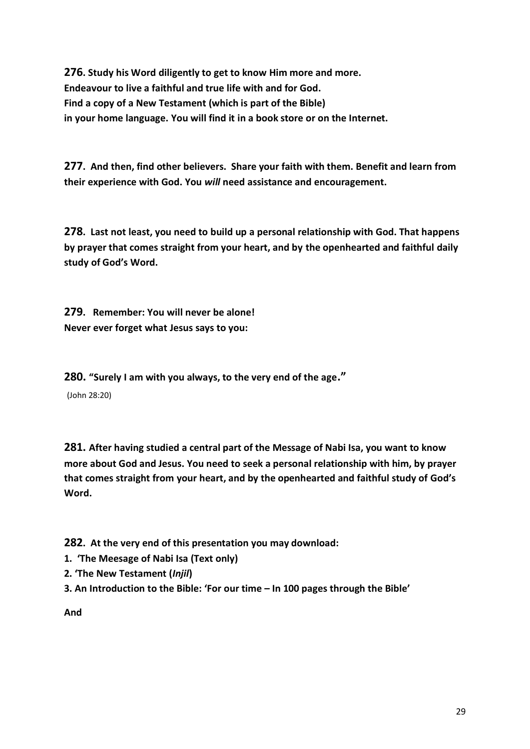**276. Study his Word diligently to get to know Him more and more. Endeavour to live a faithful and true life with and for God. Find a copy of a New Testament (which is part of the Bible) in your home language. You will find it in a book store or on the Internet.** 

**277. And then, find other believers. Share your faith with them. Benefit and learn from their experience with God. You** *will* **need assistance and encouragement.**

**278. Last not least, you need to build up a personal relationship with God. That happens by prayer that comes straight from your heart, and by the openhearted and faithful daily study of God's Word.**

**279. Remember: You will never be alone! Never ever forget what Jesus says to you:** 

**280. "Surely I am with you always, to the very end of the age."** 

(John 28:20)

**281. After having studied a central part of the Message of Nabi Isa, you want to know more about God and Jesus. You need to seek a personal relationship with him, by prayer that comes straight from your heart, and by the openhearted and faithful study of God's Word.**

**282. At the very end of this presentation you may download:** 

- **1. 'The Meesage of Nabi Isa (Text only)**
- **2. 'The New Testament (***Injil***)**
- **3. An Introduction to the Bible: 'For our time – In 100 pages through the Bible'**

**And**